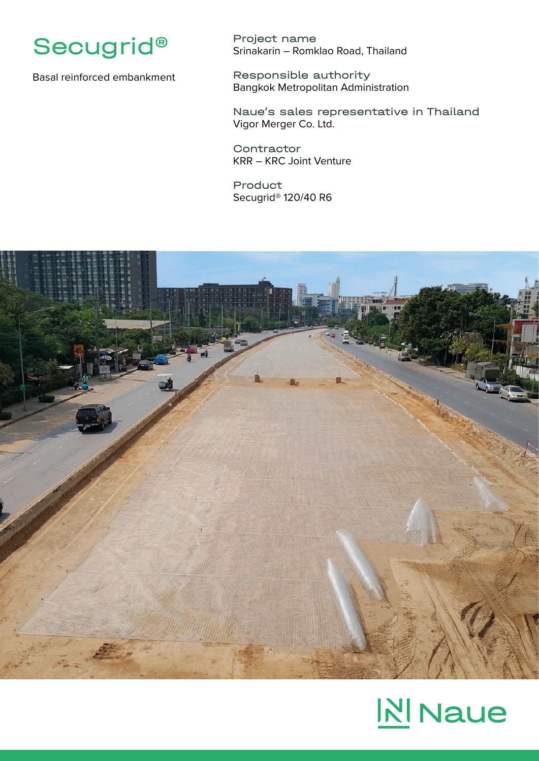

Basal reinforced embankment

Project name Srinakarin – Romklao Road, Thailand

Responsible authority Bangkok Metropolitan Administration

Naue's sales representative in Thailand Vigor Merger Co. Ltd.

**Contractor** KRR – KRC Joint Venture

Product Secugrid® 120/40 R6



## **NI** Naue